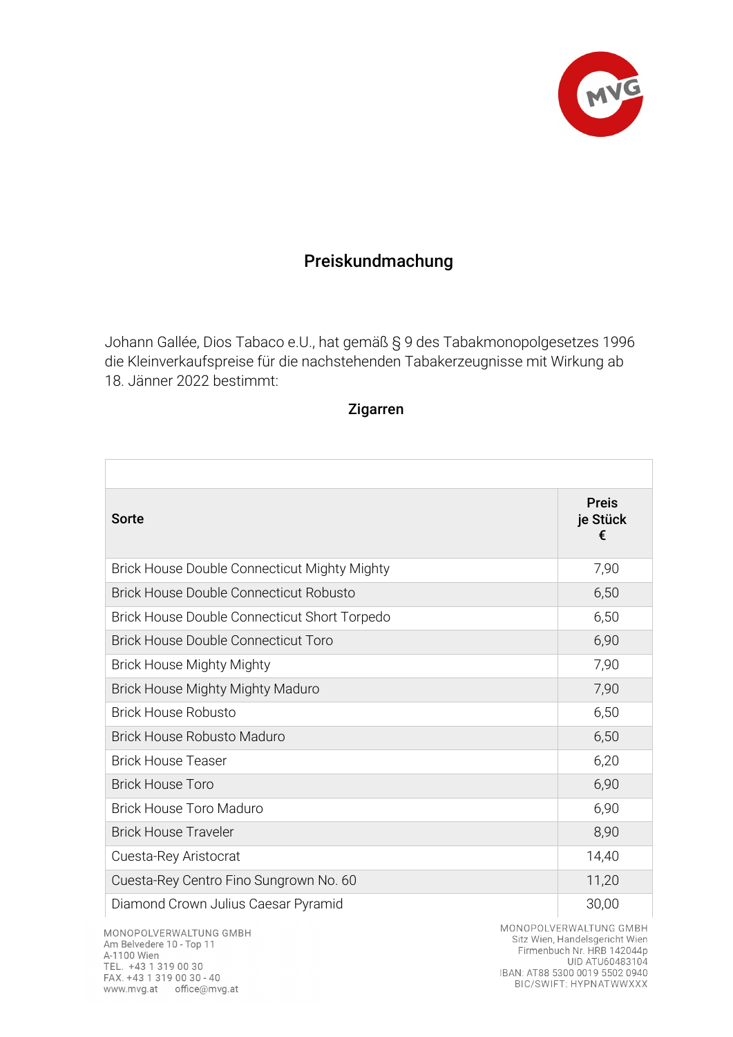

## Preiskundmachung

Johann Gallée, Dios Tabaco e.U., hat gemäß § 9 des Tabakmonopolgesetzes 1996 die Kleinverkaufspreise für die nachstehenden Tabakerzeugnisse mit Wirkung ab 18. Jänner 2022 bestimmt:

## Zigarren

| Sorte                                               | <b>Preis</b><br>je Stück<br>€ |
|-----------------------------------------------------|-------------------------------|
| <b>Brick House Double Connecticut Mighty Mighty</b> | 7,90                          |
| <b>Brick House Double Connecticut Robusto</b>       | 6,50                          |
| Brick House Double Connecticut Short Torpedo        | 6,50                          |
| <b>Brick House Double Connecticut Toro</b>          | 6,90                          |
| <b>Brick House Mighty Mighty</b>                    | 7,90                          |
| Brick House Mighty Mighty Maduro                    | 7,90                          |
| <b>Brick House Robusto</b>                          | 6,50                          |
| <b>Brick House Robusto Maduro</b>                   | 6,50                          |
| <b>Brick House Teaser</b>                           | 6,20                          |
| <b>Brick House Toro</b>                             | 6,90                          |
| <b>Brick House Toro Maduro</b>                      | 6,90                          |
| <b>Brick House Traveler</b>                         | 8,90                          |
| Cuesta-Rey Aristocrat                               | 14,40                         |
| Cuesta-Rey Centro Fino Sungrown No. 60              | 11,20                         |
| Diamond Crown Julius Caesar Pyramid                 | 30,00                         |

MONOPOLVERWALTUNG GMBH Am Belvedere 10 - Top 11 A-1100 Wien TEL. +43 1 319 00 30 FAX. +43 1 319 00 30 - 40 www.mvg.at office@mvg.at

MONOPOLVERWALTUNG GMBH Sitz Wien, Handelsgericht Wien Firmenbuch Nr. HRB 142044p UID ATU60483104 IBAN: AT88 5300 0019 5502 0940<br>BIC/SWIFT: HYPNATWWXXX